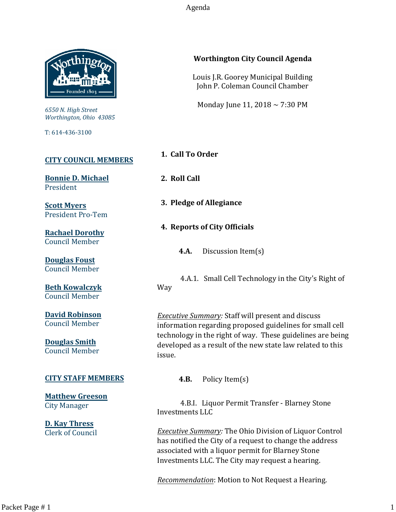Agenda



*6550 N. High Street Worthington, Ohio 43085*

T: 614-436-3100

# **[CITY COUNCIL MEMBERS](mailto:CityCouncil@ci.worthington.oh.us?subject=Email%20from%20City%20Council%20Meeting%20Agenda%20Link)**

**[Bonnie D. Michael](mailto:bmichael@ci.worthington.oh.us?subject=Email%20from%20City%20Council%20Meeting%20Agenda%20Link)** President

**[Scott Myers](mailto:smyers@ci.worthington.oh.us?subject=Email%20from%20City%20Council%20Meeting%20Agenda%20Link)** President Pro-Tem

**[Rachael Dorothy](mailto:rdorothy@ci.worthington.oh.us?subject=Email%20from%20City%20Council%20Meeting%20Agenda%20Link)** Council Member

**[Douglas Foust](mailto:Doug.Foust@ci.worthington.oh.us?subject=Email%20from%20City%20Council%20Meeting%20Agenda%20Link)** Council Member

**[Beth Kowalczyk](mailto:BKowalczyk@ci.worthington.oh.us)** Council Member

**[David Robinson](mailto:DRobinson@ci.worthington.oh.us)** Council Member

**[Douglas Smith](mailto:DSmith@ci.worthington.oh.us?subject=Email%20from%20City%20Council%20Meeting%20Agenda%20Link)** Council Member

#### **[CITY STAFF MEMBERS](mailto:Council@ci.worthington.oh.us?subject=Email%20from%20City%20Council%20Meeting%20Agenda%20Link)**

**[Matthew Greeson](mailto:MGreeson@ci.worthington.oh.us?subject=Email%20from%20City%20Council%20Meeting%20Agenda%20Link)** City Manager

**[D. Kay Thress](mailto:DThress@ci.worthington.oh.us?subject=Email%20from%20City%20Council%20Meeting%20Agenda%20Link)** Clerk of Council

#### **Worthington City Council Agenda**

Louis J.R. Goorey Municipal Building John P. Coleman Council Chamber

Monday June 11, 2018 ~ 7:30 PM

**1. Call To Order**

**2. Roll Call**

- **3. Pledge of Allegiance**
- **4. Reports of City Officials**
	- **4.A.** Discussion Item(s)

4.A.1. Small Cell Technology in the City's Right of Way

*Executive Summary:* Staff will present and discuss information regarding proposed guidelines for small cell technology in the right of way. These guidelines are being developed as a result of the new state law related to this issue.

**4.B.** Policy Item(s)

4.B.I. Liquor Permit Transfer - Blarney Stone Investments LLC

*Executive Summary:* The Ohio Division of Liquor Control has notified the City of a request to change the address associated with a liquor permit for Blarney Stone Investments LLC. The City may request a hearing.

*Recommendation*: Motion to Not Request a Hearing.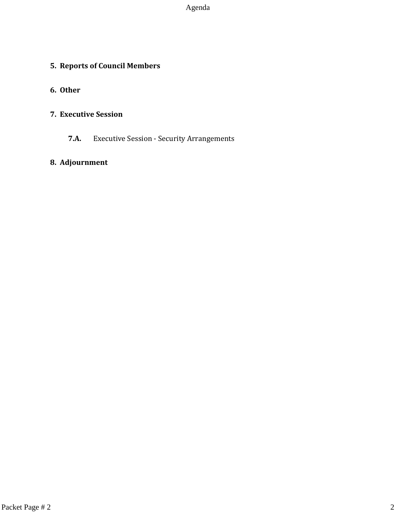Agenda

# **5. Reports of Council Members**

# **6. Other**

# **7. Executive Session**

**7.A.** Executive Session - Security Arrangements

# **8. Adjournment**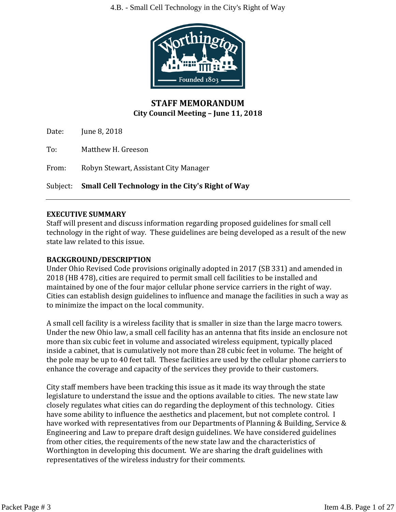4.B. - Small Cell Technology in the City's Right of Way



# **STAFF MEMORANDUM City Council Meeting – June 11, 2018**

Date: June 8, 2018

To: Matthew H. Greeson

From: Robyn Stewart, Assistant City Manager

Subject: **Small Cell Technology in the City's Right of Way**

# **EXECUTIVE SUMMARY**

Staff will present and discuss information regarding proposed guidelines for small cell technology in the right of way. These guidelines are being developed as a result of the new state law related to this issue.

# **BACKGROUND/DESCRIPTION**

Under Ohio Revised Code provisions originally adopted in 2017 (SB 331) and amended in 2018 (HB 478), cities are required to permit small cell facilities to be installed and maintained by one of the four major cellular phone service carriers in the right of way. Cities can establish design guidelines to influence and manage the facilities in such a way as to minimize the impact on the local community.

A small cell facility is a wireless facility that is smaller in size than the large macro towers. Under the new Ohio law, a small cell facility has an antenna that fits inside an enclosure not more than six cubic feet in volume and associated wireless equipment, typically placed inside a cabinet, that is cumulatively not more than 28 cubic feet in volume. The height of the pole may be up to 40 feet tall. These facilities are used by the cellular phone carriers to enhance the coverage and capacity of the services they provide to their customers.

City staff members have been tracking this issue as it made its way through the state legislature to understand the issue and the options available to cities. The new state law closely regulates what cities can do regarding the deployment of this technology. Cities have some ability to influence the aesthetics and placement, but not complete control. I have worked with representatives from our Departments of Planning & Building, Service & Engineering and Law to prepare draft design guidelines. We have considered guidelines from other cities, the requirements of the new state law and the characteristics of Worthington in developing this document. We are sharing the draft guidelines with representatives of the wireless industry for their comments.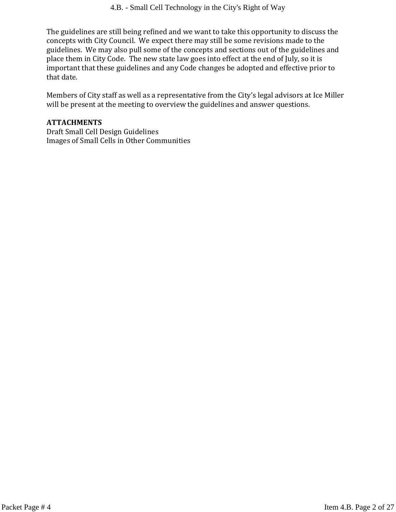The guidelines are still being refined and we want to take this opportunity to discuss the concepts with City Council. We expect there may still be some revisions made to the guidelines. We may also pull some of the concepts and sections out of the guidelines and place them in City Code. The new state law goes into effect at the end of July, so it is important that these guidelines and any Code changes be adopted and effective prior to that date.

Members of City staff as well as a representative from the City's legal advisors at Ice Miller will be present at the meeting to overview the guidelines and answer questions.

# **ATTACHMENTS**

Draft Small Cell Design Guidelines Images of Small Cells in Other Communities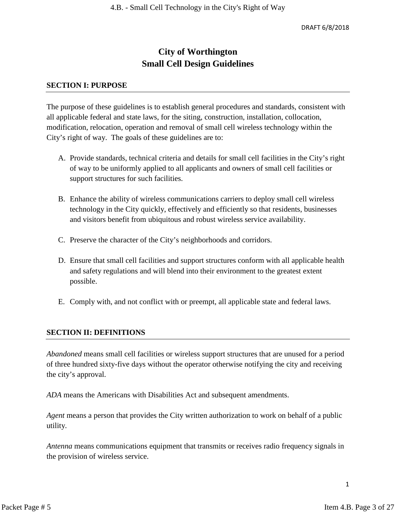# **City of Worthington Small Cell Design Guidelines**

#### **SECTION I: PURPOSE**

The purpose of these guidelines is to establish general procedures and standards, consistent with all applicable federal and state laws, for the siting, construction, installation, collocation, modification, relocation, operation and removal of small cell wireless technology within the City's right of way. The goals of these guidelines are to:

- A. Provide standards, technical criteria and details for small cell facilities in the City's right of way to be uniformly applied to all applicants and owners of small cell facilities or support structures for such facilities.
- B. Enhance the ability of wireless communications carriers to deploy small cell wireless technology in the City quickly, effectively and efficiently so that residents, businesses and visitors benefit from ubiquitous and robust wireless service availability.
- C. Preserve the character of the City's neighborhoods and corridors.
- D. Ensure that small cell facilities and support structures conform with all applicable health and safety regulations and will blend into their environment to the greatest extent possible.
- E. Comply with, and not conflict with or preempt, all applicable state and federal laws.

# **SECTION II: DEFINITIONS**

*Abandoned* means small cell facilities or wireless support structures that are unused for a period of three hundred sixty-five days without the operator otherwise notifying the city and receiving the city's approval.

*ADA* means the Americans with Disabilities Act and subsequent amendments.

*Agent* means a person that provides the City written authorization to work on behalf of a public utility.

*Antenna* means communications equipment that transmits or receives radio frequency signals in the provision of wireless service.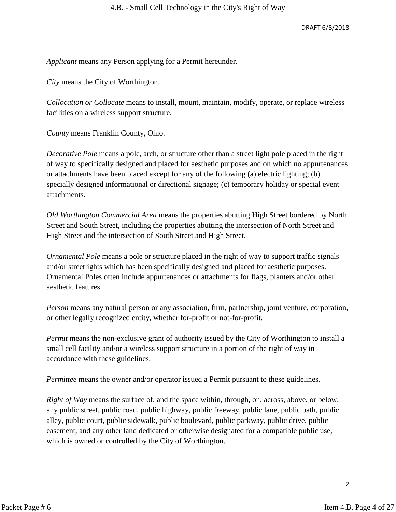*Applicant* means any Person applying for a Permit hereunder.

*City* means the City of Worthington.

*Collocation or Collocate* means to install, mount, maintain, modify, operate, or replace wireless facilities on a wireless support structure.

*County* means Franklin County, Ohio.

*Decorative Pole* means a pole, arch, or structure other than a street light pole placed in the right of way to specifically designed and placed for aesthetic purposes and on which no appurtenances or attachments have been placed except for any of the following (a) electric lighting; (b) specially designed informational or directional signage; (c) temporary holiday or special event attachments.

*Old Worthington Commercial Area* means the properties abutting High Street bordered by North Street and South Street, including the properties abutting the intersection of North Street and High Street and the intersection of South Street and High Street.

*Ornamental Pole* means a pole or structure placed in the right of way to support traffic signals and/or streetlights which has been specifically designed and placed for aesthetic purposes. Ornamental Poles often include appurtenances or attachments for flags, planters and/or other aesthetic features.

*Person* means any natural person or any association, firm, partnership, joint venture, corporation, or other legally recognized entity, whether for-profit or not-for-profit.

*Permit* means the non-exclusive grant of authority issued by the City of Worthington to install a small cell facility and/or a wireless support structure in a portion of the right of way in accordance with these guidelines.

*Permittee* means the owner and/or operator issued a Permit pursuant to these guidelines.

*Right of Way* means the surface of, and the space within, through, on, across, above, or below, any public street, public road, public highway, public freeway, public lane, public path, public alley, public court, public sidewalk, public boulevard, public parkway, public drive, public easement, and any other land dedicated or otherwise designated for a compatible public use, which is owned or controlled by the City of Worthington.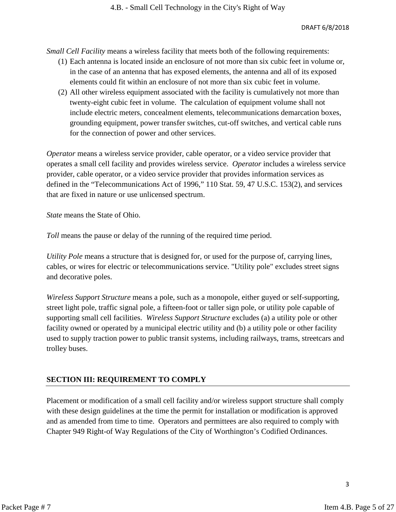*Small Cell Facility* means a wireless facility that meets both of the following requirements:

- (1) Each antenna is located inside an enclosure of not more than six cubic feet in volume or, in the case of an antenna that has exposed elements, the antenna and all of its exposed elements could fit within an enclosure of not more than six cubic feet in volume.
- (2) All other wireless equipment associated with the facility is cumulatively not more than twenty-eight cubic feet in volume. The calculation of equipment volume shall not include electric meters, concealment elements, telecommunications demarcation boxes, grounding equipment, power transfer switches, cut-off switches, and vertical cable runs for the connection of power and other services.

*Operator* means a wireless service provider, cable operator, or a video service provider that operates a small cell facility and provides wireless service. *Operator* includes a wireless service provider, cable operator, or a video service provider that provides information services as defined in the "Telecommunications Act of 1996," 110 Stat. 59, 47 U.S.C. 153(2), and services that are fixed in nature or use unlicensed spectrum.

*State* means the State of Ohio.

*Toll* means the pause or delay of the running of the required time period.

*Utility Pole* means a structure that is designed for, or used for the purpose of, carrying lines, cables, or wires for electric or telecommunications service. "Utility pole" excludes street signs and decorative poles.

*Wireless Support Structure* means a pole, such as a monopole, either guyed or self-supporting, street light pole, traffic signal pole, a fifteen-foot or taller sign pole, or utility pole capable of supporting small cell facilities. *Wireless Support Structure* excludes (a) a utility pole or other facility owned or operated by a municipal electric utility and (b) a utility pole or other facility used to supply traction power to public transit systems, including railways, trams, streetcars and trolley buses.

# **SECTION III: REQUIREMENT TO COMPLY**

Placement or modification of a small cell facility and/or wireless support structure shall comply with these design guidelines at the time the permit for installation or modification is approved and as amended from time to time. Operators and permittees are also required to comply with Chapter 949 Right-of Way Regulations of the City of Worthington's Codified Ordinances.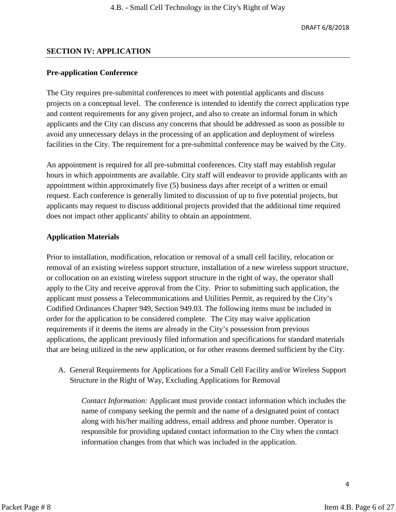#### **SECTION IV: APPLICATION**

#### **Pre-application Conference**

The City requires pre-submittal conferences to meet with potential applicants and discuss projects on a conceptual level. The conference is intended to identify the correct application type and content requirements for any given project, and also to create an informal forum in which applicants and the City can discuss any concerns that should be addressed as soon as possible to avoid any unnecessary delays in the processing of an application and deployment of wireless facilities in the City. The requirement for a pre-submittal conference may be waived by the City.

An appointment is required for all pre-submittal conferences. City staff may establish regular hours in which appointments are available. City staff will endeavor to provide applicants with an appointment within approximately five (5) business days after receipt of a written or email request. Each conference is generally limited to discussion of up to five potential projects, but applicants may request to discuss additional projects provided that the additional time required does not impact other applicants' ability to obtain an appointment.

#### **Application Materials**

Prior to installation, modification, relocation or removal of a small cell facility, relocation or removal of an existing wireless support structure, installation of a new wireless support structure, or collocation on an existing wireless support structure in the right of way, the operator shall apply to the City and receive approval from the City. Prior to submitting such application, the applicant must possess a Telecommunications and Utilities Permit, as required by the City's Codified Ordinances Chapter 949, Section 949.03. The following items must be included in order for the application to be considered complete. The City may waive application requirements if it deems the items are already in the City's possession from previous applications, the applicant previously filed information and specifications for standard materials that are being utilized in the new application, or for other reasons deemed sufficient by the City.

A. General Requirements for Applications for a Small Cell Facility and/or Wireless Support Structure in the Right of Way, Excluding Applications for Removal

*Contact Information:* Applicant must provide contact information which includes the name of company seeking the permit and the name of a designated point of contact along with his/her mailing address, email address and phone number. Operator is responsible for providing updated contact information to the City when the contact information changes from that which was included in the application.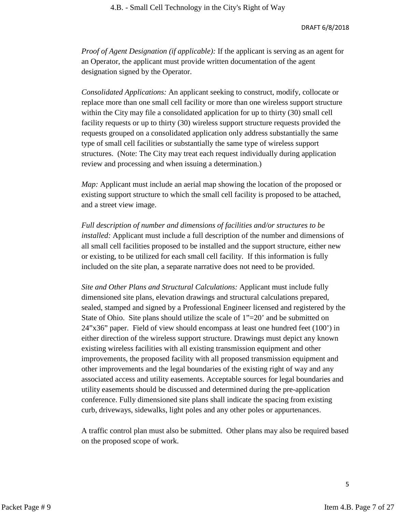*Proof of Agent Designation (if applicable):* If the applicant is serving as an agent for an Operator, the applicant must provide written documentation of the agent designation signed by the Operator.

*Consolidated Applications:* An applicant seeking to construct, modify, collocate or replace more than one small cell facility or more than one wireless support structure within the City may file a consolidated application for up to thirty (30) small cell facility requests or up to thirty (30) wireless support structure requests provided the requests grouped on a consolidated application only address substantially the same type of small cell facilities or substantially the same type of wireless support structures. (Note: The City may treat each request individually during application review and processing and when issuing a determination.)

*Map:* Applicant must include an aerial map showing the location of the proposed or existing support structure to which the small cell facility is proposed to be attached, and a street view image.

*Full description of number and dimensions of facilities and/or structures to be installed:* Applicant must include a full description of the number and dimensions of all small cell facilities proposed to be installed and the support structure, either new or existing, to be utilized for each small cell facility. If this information is fully included on the site plan, a separate narrative does not need to be provided.

*Site and Other Plans and Structural Calculations:* Applicant must include fully dimensioned site plans, elevation drawings and structural calculations prepared, sealed, stamped and signed by a Professional Engineer licensed and registered by the State of Ohio. Site plans should utilize the scale of  $1" = 20'$  and be submitted on 24"x36" paper. Field of view should encompass at least one hundred feet (100') in either direction of the wireless support structure. Drawings must depict any known existing wireless facilities with all existing transmission equipment and other improvements, the proposed facility with all proposed transmission equipment and other improvements and the legal boundaries of the existing right of way and any associated access and utility easements. Acceptable sources for legal boundaries and utility easements should be discussed and determined during the pre-application conference. Fully dimensioned site plans shall indicate the spacing from existing curb, driveways, sidewalks, light poles and any other poles or appurtenances.

A traffic control plan must also be submitted. Other plans may also be required based on the proposed scope of work.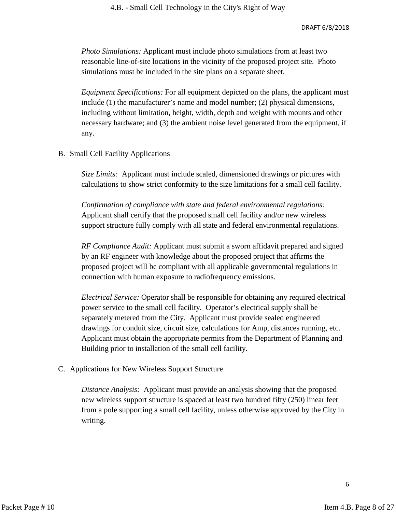*Photo Simulations:* Applicant must include photo simulations from at least two reasonable line-of-site locations in the vicinity of the proposed project site. Photo simulations must be included in the site plans on a separate sheet.

*Equipment Specifications:* For all equipment depicted on the plans, the applicant must include (1) the manufacturer's name and model number; (2) physical dimensions, including without limitation, height, width, depth and weight with mounts and other necessary hardware; and (3) the ambient noise level generated from the equipment, if any.

B. Small Cell Facility Applications

*Size Limits:* Applicant must include scaled, dimensioned drawings or pictures with calculations to show strict conformity to the size limitations for a small cell facility.

*Confirmation of compliance with state and federal environmental regulations:*  Applicant shall certify that the proposed small cell facility and/or new wireless support structure fully comply with all state and federal environmental regulations.

*RF Compliance Audit:* Applicant must submit a sworn affidavit prepared and signed by an RF engineer with knowledge about the proposed project that affirms the proposed project will be compliant with all applicable governmental regulations in connection with human exposure to radiofrequency emissions.

*Electrical Service:* Operator shall be responsible for obtaining any required electrical power service to the small cell facility. Operator's electrical supply shall be separately metered from the City. Applicant must provide sealed engineered drawings for conduit size, circuit size, calculations for Amp, distances running, etc. Applicant must obtain the appropriate permits from the Department of Planning and Building prior to installation of the small cell facility.

C. Applications for New Wireless Support Structure

*Distance Analysis:* Applicant must provide an analysis showing that the proposed new wireless support structure is spaced at least two hundred fifty (250) linear feet from a pole supporting a small cell facility, unless otherwise approved by the City in writing.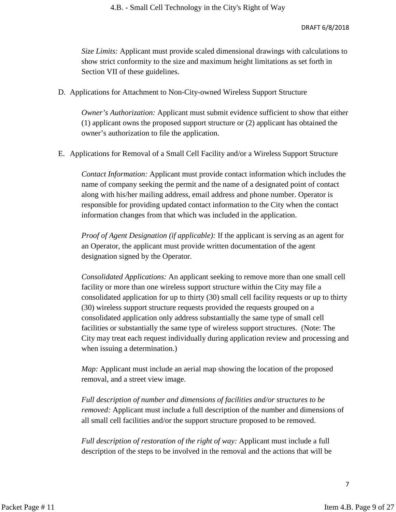*Size Limits:* Applicant must provide scaled dimensional drawings with calculations to show strict conformity to the size and maximum height limitations as set forth in Section VII of these guidelines.

D. Applications for Attachment to Non-City-owned Wireless Support Structure

*Owner's Authorization:* Applicant must submit evidence sufficient to show that either (1) applicant owns the proposed support structure or (2) applicant has obtained the owner's authorization to file the application.

E. Applications for Removal of a Small Cell Facility and/or a Wireless Support Structure

*Contact Information:* Applicant must provide contact information which includes the name of company seeking the permit and the name of a designated point of contact along with his/her mailing address, email address and phone number. Operator is responsible for providing updated contact information to the City when the contact information changes from that which was included in the application.

*Proof of Agent Designation (if applicable):* If the applicant is serving as an agent for an Operator, the applicant must provide written documentation of the agent designation signed by the Operator.

*Consolidated Applications:* An applicant seeking to remove more than one small cell facility or more than one wireless support structure within the City may file a consolidated application for up to thirty (30) small cell facility requests or up to thirty (30) wireless support structure requests provided the requests grouped on a consolidated application only address substantially the same type of small cell facilities or substantially the same type of wireless support structures. (Note: The City may treat each request individually during application review and processing and when issuing a determination.)

*Map:* Applicant must include an aerial map showing the location of the proposed removal, and a street view image.

*Full description of number and dimensions of facilities and/or structures to be removed:* Applicant must include a full description of the number and dimensions of all small cell facilities and/or the support structure proposed to be removed.

*Full description of restoration of the right of way:* Applicant must include a full description of the steps to be involved in the removal and the actions that will be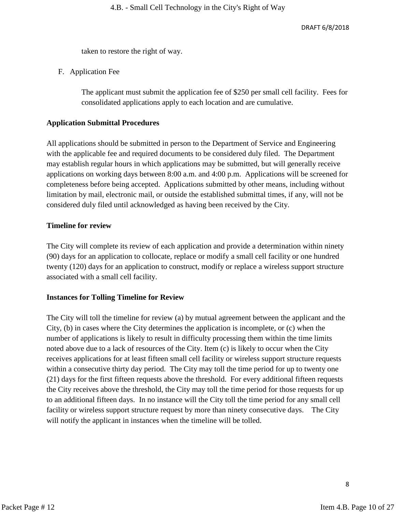taken to restore the right of way.

F. Application Fee

The applicant must submit the application fee of \$250 per small cell facility. Fees for consolidated applications apply to each location and are cumulative.

# **Application Submittal Procedures**

All applications should be submitted in person to the Department of Service and Engineering with the applicable fee and required documents to be considered duly filed. The Department may establish regular hours in which applications may be submitted, but will generally receive applications on working days between 8:00 a.m. and 4:00 p.m. Applications will be screened for completeness before being accepted. Applications submitted by other means, including without limitation by mail, electronic mail, or outside the established submittal times, if any, will not be considered duly filed until acknowledged as having been received by the City.

# **Timeline for review**

The City will complete its review of each application and provide a determination within ninety (90) days for an application to collocate, replace or modify a small cell facility or one hundred twenty (120) days for an application to construct, modify or replace a wireless support structure associated with a small cell facility.

# **Instances for Tolling Timeline for Review**

The City will toll the timeline for review (a) by mutual agreement between the applicant and the City, (b) in cases where the City determines the application is incomplete, or (c) when the number of applications is likely to result in difficulty processing them within the time limits noted above due to a lack of resources of the City. Item (c) is likely to occur when the City receives applications for at least fifteen small cell facility or wireless support structure requests within a consecutive thirty day period. The City may toll the time period for up to twenty one (21) days for the first fifteen requests above the threshold. For every additional fifteen requests the City receives above the threshold, the City may toll the time period for those requests for up to an additional fifteen days. In no instance will the City toll the time period for any small cell facility or wireless support structure request by more than ninety consecutive days. The City will notify the applicant in instances when the timeline will be tolled.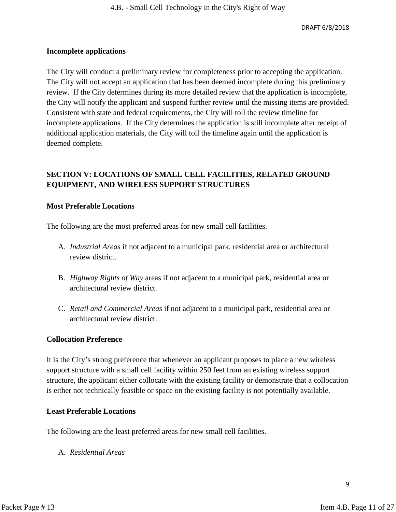#### **Incomplete applications**

The City will conduct a preliminary review for completeness prior to accepting the application. The City will not accept an application that has been deemed incomplete during this preliminary review. If the City determines during its more detailed review that the application is incomplete, the City will notify the applicant and suspend further review until the missing items are provided. Consistent with state and federal requirements, the City will toll the review timeline for incomplete applications. If the City determines the application is still incomplete after receipt of additional application materials, the City will toll the timeline again until the application is deemed complete.

# **SECTION V: LOCATIONS OF SMALL CELL FACILITIES, RELATED GROUND EQUIPMENT, AND WIRELESS SUPPORT STRUCTURES**

#### **Most Preferable Locations**

The following are the most preferred areas for new small cell facilities.

- A. *Industrial Areas* if not adjacent to a municipal park, residential area or architectural review district.
- B. *Highway Rights of Way* areas if not adjacent to a municipal park, residential area or architectural review district.
- C. *Retail and Commercial Areas* if not adjacent to a municipal park, residential area or architectural review district.

#### **Collocation Preference**

It is the City's strong preference that whenever an applicant proposes to place a new wireless support structure with a small cell facility within 250 feet from an existing wireless support structure, the applicant either collocate with the existing facility or demonstrate that a collocation is either not technically feasible or space on the existing facility is not potentially available.

#### **Least Preferable Locations**

The following are the least preferred areas for new small cell facilities.

A. *Residential Areas*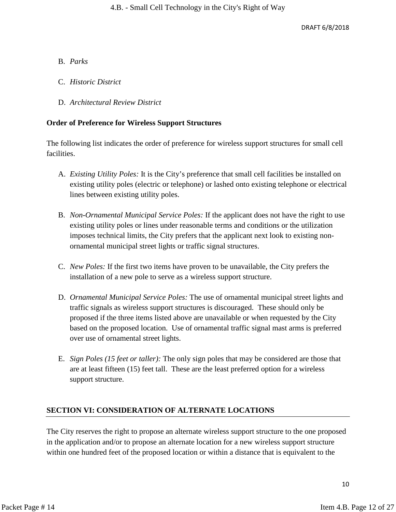#### B. *Parks*

- C. *Historic District*
- D. *Architectural Review District*

#### **Order of Preference for Wireless Support Structures**

The following list indicates the order of preference for wireless support structures for small cell facilities.

- A. *Existing Utility Poles:* It is the City's preference that small cell facilities be installed on existing utility poles (electric or telephone) or lashed onto existing telephone or electrical lines between existing utility poles.
- B. *Non-Ornamental Municipal Service Poles:* If the applicant does not have the right to use existing utility poles or lines under reasonable terms and conditions or the utilization imposes technical limits, the City prefers that the applicant next look to existing nonornamental municipal street lights or traffic signal structures.
- C. *New Poles:* If the first two items have proven to be unavailable, the City prefers the installation of a new pole to serve as a wireless support structure.
- D. *Ornamental Municipal Service Poles:* The use of ornamental municipal street lights and traffic signals as wireless support structures is discouraged. These should only be proposed if the three items listed above are unavailable or when requested by the City based on the proposed location. Use of ornamental traffic signal mast arms is preferred over use of ornamental street lights.
- E. *Sign Poles (15 feet or taller):* The only sign poles that may be considered are those that are at least fifteen (15) feet tall. These are the least preferred option for a wireless support structure.

# **SECTION VI: CONSIDERATION OF ALTERNATE LOCATIONS**

The City reserves the right to propose an alternate wireless support structure to the one proposed in the application and/or to propose an alternate location for a new wireless support structure within one hundred feet of the proposed location or within a distance that is equivalent to the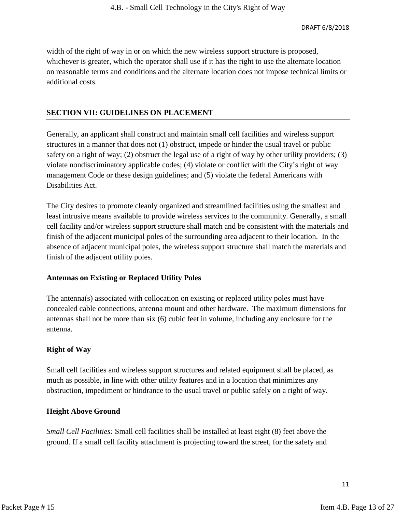width of the right of way in or on which the new wireless support structure is proposed, whichever is greater, which the operator shall use if it has the right to use the alternate location on reasonable terms and conditions and the alternate location does not impose technical limits or additional costs.

#### **SECTION VII: GUIDELINES ON PLACEMENT**

Generally, an applicant shall construct and maintain small cell facilities and wireless support structures in a manner that does not (1) obstruct, impede or hinder the usual travel or public safety on a right of way; (2) obstruct the legal use of a right of way by other utility providers; (3) violate nondiscriminatory applicable codes; (4) violate or conflict with the City's right of way management Code or these design guidelines; and (5) violate the federal Americans with Disabilities Act.

The City desires to promote cleanly organized and streamlined facilities using the smallest and least intrusive means available to provide wireless services to the community. Generally, a small cell facility and/or wireless support structure shall match and be consistent with the materials and finish of the adjacent municipal poles of the surrounding area adjacent to their location. In the absence of adjacent municipal poles, the wireless support structure shall match the materials and finish of the adjacent utility poles.

#### **Antennas on Existing or Replaced Utility Poles**

The antenna(s) associated with collocation on existing or replaced utility poles must have concealed cable connections, antenna mount and other hardware. The maximum dimensions for antennas shall not be more than six (6) cubic feet in volume, including any enclosure for the antenna.

#### **Right of Way**

Small cell facilities and wireless support structures and related equipment shall be placed, as much as possible, in line with other utility features and in a location that minimizes any obstruction, impediment or hindrance to the usual travel or public safely on a right of way.

#### **Height Above Ground**

*Small Cell Facilities:* Small cell facilities shall be installed at least eight (8) feet above the ground. If a small cell facility attachment is projecting toward the street, for the safety and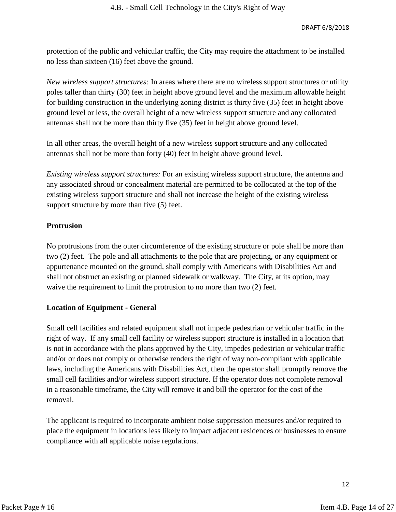protection of the public and vehicular traffic, the City may require the attachment to be installed no less than sixteen (16) feet above the ground.

*New wireless support structures:* In areas where there are no wireless support structures or utility poles taller than thirty (30) feet in height above ground level and the maximum allowable height for building construction in the underlying zoning district is thirty five (35) feet in height above ground level or less, the overall height of a new wireless support structure and any collocated antennas shall not be more than thirty five (35) feet in height above ground level.

In all other areas, the overall height of a new wireless support structure and any collocated antennas shall not be more than forty (40) feet in height above ground level.

*Existing wireless support structures:* For an existing wireless support structure, the antenna and any associated shroud or concealment material are permitted to be collocated at the top of the existing wireless support structure and shall not increase the height of the existing wireless support structure by more than five (5) feet.

# **Protrusion**

No protrusions from the outer circumference of the existing structure or pole shall be more than two (2) feet. The pole and all attachments to the pole that are projecting, or any equipment or appurtenance mounted on the ground, shall comply with Americans with Disabilities Act and shall not obstruct an existing or planned sidewalk or walkway. The City, at its option, may waive the requirement to limit the protrusion to no more than two (2) feet.

# **Location of Equipment - General**

Small cell facilities and related equipment shall not impede pedestrian or vehicular traffic in the right of way. If any small cell facility or wireless support structure is installed in a location that is not in accordance with the plans approved by the City, impedes pedestrian or vehicular traffic and/or or does not comply or otherwise renders the right of way non-compliant with applicable laws, including the Americans with Disabilities Act, then the operator shall promptly remove the small cell facilities and/or wireless support structure. If the operator does not complete removal in a reasonable timeframe, the City will remove it and bill the operator for the cost of the removal.

The applicant is required to incorporate ambient noise suppression measures and/or required to place the equipment in locations less likely to impact adjacent residences or businesses to ensure compliance with all applicable noise regulations.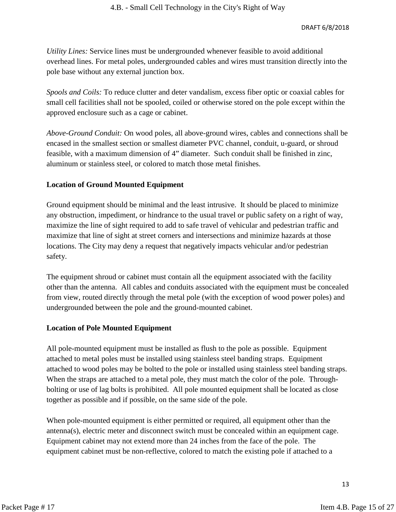*Utility Lines:* Service lines must be undergrounded whenever feasible to avoid additional overhead lines. For metal poles, undergrounded cables and wires must transition directly into the pole base without any external junction box.

*Spools and Coils:* To reduce clutter and deter vandalism, excess fiber optic or coaxial cables for small cell facilities shall not be spooled, coiled or otherwise stored on the pole except within the approved enclosure such as a cage or cabinet.

*Above-Ground Conduit:* On wood poles, all above-ground wires, cables and connections shall be encased in the smallest section or smallest diameter PVC channel, conduit, u-guard, or shroud feasible, with a maximum dimension of 4" diameter. Such conduit shall be finished in zinc, aluminum or stainless steel, or colored to match those metal finishes.

# **Location of Ground Mounted Equipment**

Ground equipment should be minimal and the least intrusive. It should be placed to minimize any obstruction, impediment, or hindrance to the usual travel or public safety on a right of way, maximize the line of sight required to add to safe travel of vehicular and pedestrian traffic and maximize that line of sight at street corners and intersections and minimize hazards at those locations. The City may deny a request that negatively impacts vehicular and/or pedestrian safety.

The equipment shroud or cabinet must contain all the equipment associated with the facility other than the antenna. All cables and conduits associated with the equipment must be concealed from view, routed directly through the metal pole (with the exception of wood power poles) and undergrounded between the pole and the ground-mounted cabinet.

# **Location of Pole Mounted Equipment**

All pole-mounted equipment must be installed as flush to the pole as possible. Equipment attached to metal poles must be installed using stainless steel banding straps. Equipment attached to wood poles may be bolted to the pole or installed using stainless steel banding straps. When the straps are attached to a metal pole, they must match the color of the pole. Throughbolting or use of lag bolts is prohibited. All pole mounted equipment shall be located as close together as possible and if possible, on the same side of the pole.

When pole-mounted equipment is either permitted or required, all equipment other than the antenna(s), electric meter and disconnect switch must be concealed within an equipment cage. Equipment cabinet may not extend more than 24 inches from the face of the pole. The equipment cabinet must be non-reflective, colored to match the existing pole if attached to a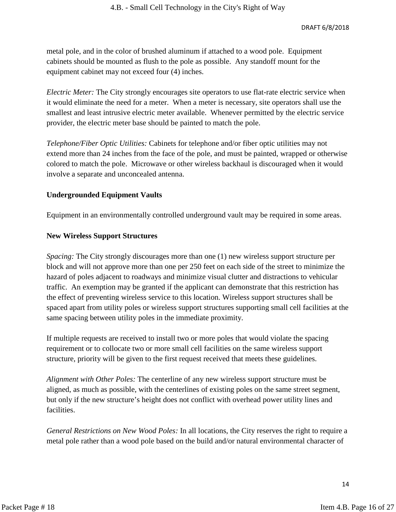metal pole, and in the color of brushed aluminum if attached to a wood pole. Equipment cabinets should be mounted as flush to the pole as possible. Any standoff mount for the equipment cabinet may not exceed four (4) inches.

*Electric Meter:* The City strongly encourages site operators to use flat-rate electric service when it would eliminate the need for a meter. When a meter is necessary, site operators shall use the smallest and least intrusive electric meter available. Whenever permitted by the electric service provider, the electric meter base should be painted to match the pole.

*Telephone/Fiber Optic Utilities:* Cabinets for telephone and/or fiber optic utilities may not extend more than 24 inches from the face of the pole, and must be painted, wrapped or otherwise colored to match the pole. Microwave or other wireless backhaul is discouraged when it would involve a separate and unconcealed antenna.

#### **Undergrounded Equipment Vaults**

Equipment in an environmentally controlled underground vault may be required in some areas.

#### **New Wireless Support Structures**

*Spacing:* The City strongly discourages more than one (1) new wireless support structure per block and will not approve more than one per 250 feet on each side of the street to minimize the hazard of poles adjacent to roadways and minimize visual clutter and distractions to vehicular traffic. An exemption may be granted if the applicant can demonstrate that this restriction has the effect of preventing wireless service to this location. Wireless support structures shall be spaced apart from utility poles or wireless support structures supporting small cell facilities at the same spacing between utility poles in the immediate proximity.

If multiple requests are received to install two or more poles that would violate the spacing requirement or to collocate two or more small cell facilities on the same wireless support structure, priority will be given to the first request received that meets these guidelines.

*Alignment with Other Poles:* The centerline of any new wireless support structure must be aligned, as much as possible, with the centerlines of existing poles on the same street segment, but only if the new structure's height does not conflict with overhead power utility lines and facilities.

*General Restrictions on New Wood Poles:* In all locations, the City reserves the right to require a metal pole rather than a wood pole based on the build and/or natural environmental character of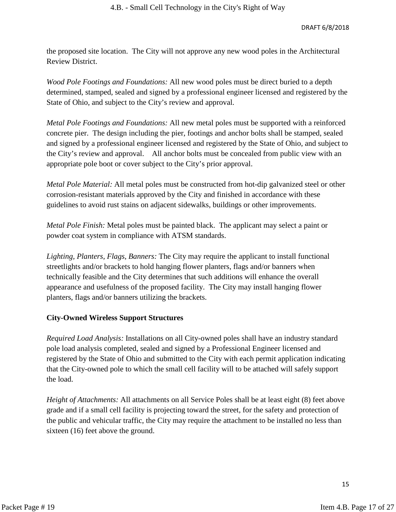#### DRAFT 6/8/2018

the proposed site location. The City will not approve any new wood poles in the Architectural Review District.

*Wood Pole Footings and Foundations:* All new wood poles must be direct buried to a depth determined, stamped, sealed and signed by a professional engineer licensed and registered by the State of Ohio, and subject to the City's review and approval.

*Metal Pole Footings and Foundations:* All new metal poles must be supported with a reinforced concrete pier. The design including the pier, footings and anchor bolts shall be stamped, sealed and signed by a professional engineer licensed and registered by the State of Ohio, and subject to the City's review and approval. All anchor bolts must be concealed from public view with an appropriate pole boot or cover subject to the City's prior approval.

*Metal Pole Material:* All metal poles must be constructed from hot-dip galvanized steel or other corrosion-resistant materials approved by the City and finished in accordance with these guidelines to avoid rust stains on adjacent sidewalks, buildings or other improvements.

*Metal Pole Finish:* Metal poles must be painted black. The applicant may select a paint or powder coat system in compliance with ATSM standards.

*Lighting, Planters, Flags, Banners:* The City may require the applicant to install functional streetlights and/or brackets to hold hanging flower planters, flags and/or banners when technically feasible and the City determines that such additions will enhance the overall appearance and usefulness of the proposed facility. The City may install hanging flower planters, flags and/or banners utilizing the brackets.

# **City-Owned Wireless Support Structures**

*Required Load Analysis:* Installations on all City-owned poles shall have an industry standard pole load analysis completed, sealed and signed by a Professional Engineer licensed and registered by the State of Ohio and submitted to the City with each permit application indicating that the City-owned pole to which the small cell facility will to be attached will safely support the load.

*Height of Attachments:* All attachments on all Service Poles shall be at least eight (8) feet above grade and if a small cell facility is projecting toward the street, for the safety and protection of the public and vehicular traffic, the City may require the attachment to be installed no less than sixteen (16) feet above the ground.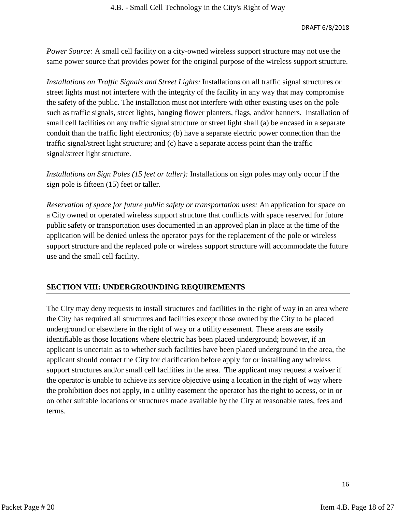*Power Source:* A small cell facility on a city-owned wireless support structure may not use the same power source that provides power for the original purpose of the wireless support structure.

*Installations on Traffic Signals and Street Lights:* Installations on all traffic signal structures or street lights must not interfere with the integrity of the facility in any way that may compromise the safety of the public. The installation must not interfere with other existing uses on the pole such as traffic signals, street lights, hanging flower planters, flags, and/or banners. Installation of small cell facilities on any traffic signal structure or street light shall (a) be encased in a separate conduit than the traffic light electronics; (b) have a separate electric power connection than the traffic signal/street light structure; and (c) have a separate access point than the traffic signal/street light structure.

*Installations on Sign Poles (15 feet or taller):* Installations on sign poles may only occur if the sign pole is fifteen (15) feet or taller.

*Reservation of space for future public safety or transportation uses:* An application for space on a City owned or operated wireless support structure that conflicts with space reserved for future public safety or transportation uses documented in an approved plan in place at the time of the application will be denied unless the operator pays for the replacement of the pole or wireless support structure and the replaced pole or wireless support structure will accommodate the future use and the small cell facility.

# **SECTION VIII: UNDERGROUNDING REQUIREMENTS**

The City may deny requests to install structures and facilities in the right of way in an area where the City has required all structures and facilities except those owned by the City to be placed underground or elsewhere in the right of way or a utility easement. These areas are easily identifiable as those locations where electric has been placed underground; however, if an applicant is uncertain as to whether such facilities have been placed underground in the area, the applicant should contact the City for clarification before apply for or installing any wireless support structures and/or small cell facilities in the area. The applicant may request a waiver if the operator is unable to achieve its service objective using a location in the right of way where the prohibition does not apply, in a utility easement the operator has the right to access, or in or on other suitable locations or structures made available by the City at reasonable rates, fees and terms.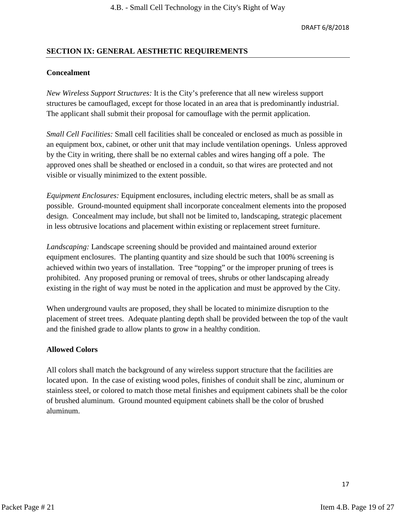# **SECTION IX: GENERAL AESTHETIC REQUIREMENTS**

#### **Concealment**

*New Wireless Support Structures:* It is the City's preference that all new wireless support structures be camouflaged, except for those located in an area that is predominantly industrial. The applicant shall submit their proposal for camouflage with the permit application.

*Small Cell Facilities:* Small cell facilities shall be concealed or enclosed as much as possible in an equipment box, cabinet, or other unit that may include ventilation openings. Unless approved by the City in writing, there shall be no external cables and wires hanging off a pole. The approved ones shall be sheathed or enclosed in a conduit, so that wires are protected and not visible or visually minimized to the extent possible.

*Equipment Enclosures:* Equipment enclosures, including electric meters, shall be as small as possible. Ground-mounted equipment shall incorporate concealment elements into the proposed design. Concealment may include, but shall not be limited to, landscaping, strategic placement in less obtrusive locations and placement within existing or replacement street furniture.

*Landscaping:* Landscape screening should be provided and maintained around exterior equipment enclosures. The planting quantity and size should be such that 100% screening is achieved within two years of installation. Tree "topping" or the improper pruning of trees is prohibited. Any proposed pruning or removal of trees, shrubs or other landscaping already existing in the right of way must be noted in the application and must be approved by the City.

When underground vaults are proposed, they shall be located to minimize disruption to the placement of street trees. Adequate planting depth shall be provided between the top of the vault and the finished grade to allow plants to grow in a healthy condition.

#### **Allowed Colors**

All colors shall match the background of any wireless support structure that the facilities are located upon. In the case of existing wood poles, finishes of conduit shall be zinc, aluminum or stainless steel, or colored to match those metal finishes and equipment cabinets shall be the color of brushed aluminum. Ground mounted equipment cabinets shall be the color of brushed aluminum.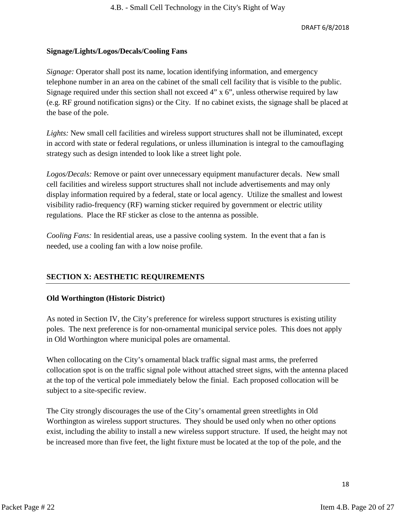#### **Signage/Lights/Logos/Decals/Cooling Fans**

*Signage:* Operator shall post its name, location identifying information, and emergency telephone number in an area on the cabinet of the small cell facility that is visible to the public. Signage required under this section shall not exceed 4" x 6", unless otherwise required by law (e.g. RF ground notification signs) or the City. If no cabinet exists, the signage shall be placed at the base of the pole.

*Lights:* New small cell facilities and wireless support structures shall not be illuminated, except in accord with state or federal regulations, or unless illumination is integral to the camouflaging strategy such as design intended to look like a street light pole.

*Logos/Decals:* Remove or paint over unnecessary equipment manufacturer decals. New small cell facilities and wireless support structures shall not include advertisements and may only display information required by a federal, state or local agency. Utilize the smallest and lowest visibility radio-frequency (RF) warning sticker required by government or electric utility regulations. Place the RF sticker as close to the antenna as possible.

*Cooling Fans:* In residential areas, use a passive cooling system. In the event that a fan is needed, use a cooling fan with a low noise profile.

# **SECTION X: AESTHETIC REQUIREMENTS**

# **Old Worthington (Historic District)**

As noted in Section IV, the City's preference for wireless support structures is existing utility poles. The next preference is for non-ornamental municipal service poles. This does not apply in Old Worthington where municipal poles are ornamental.

When collocating on the City's ornamental black traffic signal mast arms, the preferred collocation spot is on the traffic signal pole without attached street signs, with the antenna placed at the top of the vertical pole immediately below the finial. Each proposed collocation will be subject to a site-specific review.

The City strongly discourages the use of the City's ornamental green streetlights in Old Worthington as wireless support structures. They should be used only when no other options exist, including the ability to install a new wireless support structure. If used, the height may not be increased more than five feet, the light fixture must be located at the top of the pole, and the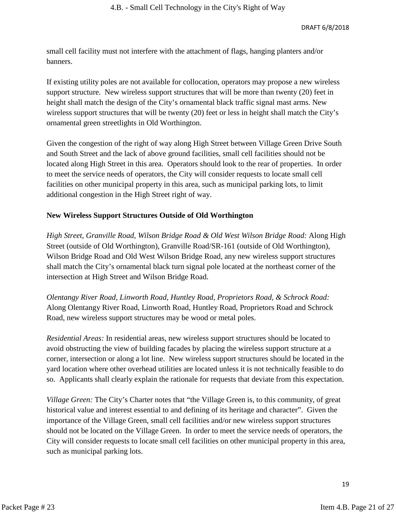small cell facility must not interfere with the attachment of flags, hanging planters and/or banners.

If existing utility poles are not available for collocation, operators may propose a new wireless support structure. New wireless support structures that will be more than twenty (20) feet in height shall match the design of the City's ornamental black traffic signal mast arms. New wireless support structures that will be twenty (20) feet or less in height shall match the City's ornamental green streetlights in Old Worthington.

Given the congestion of the right of way along High Street between Village Green Drive South and South Street and the lack of above ground facilities, small cell facilities should not be located along High Street in this area. Operators should look to the rear of properties. In order to meet the service needs of operators, the City will consider requests to locate small cell facilities on other municipal property in this area, such as municipal parking lots, to limit additional congestion in the High Street right of way.

# **New Wireless Support Structures Outside of Old Worthington**

*High Street, Granville Road, Wilson Bridge Road & Old West Wilson Bridge Road:* Along High Street (outside of Old Worthington), Granville Road/SR-161 (outside of Old Worthington), Wilson Bridge Road and Old West Wilson Bridge Road, any new wireless support structures shall match the City's ornamental black turn signal pole located at the northeast corner of the intersection at High Street and Wilson Bridge Road.

*Olentangy River Road, Linworth Road, Huntley Road, Proprietors Road, & Schrock Road:* Along Olentangy River Road, Linworth Road, Huntley Road, Proprietors Road and Schrock Road, new wireless support structures may be wood or metal poles.

*Residential Areas:* In residential areas, new wireless support structures should be located to avoid obstructing the view of building facades by placing the wireless support structure at a corner, intersection or along a lot line. New wireless support structures should be located in the yard location where other overhead utilities are located unless it is not technically feasible to do so. Applicants shall clearly explain the rationale for requests that deviate from this expectation.

*Village Green:* The City's Charter notes that "the Village Green is, to this community, of great historical value and interest essential to and defining of its heritage and character". Given the importance of the Village Green, small cell facilities and/or new wireless support structures should not be located on the Village Green. In order to meet the service needs of operators, the City will consider requests to locate small cell facilities on other municipal property in this area, such as municipal parking lots.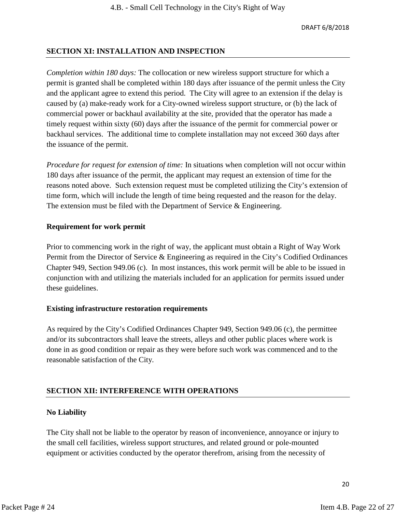# **SECTION XI: INSTALLATION AND INSPECTION**

*Completion within 180 days:* The collocation or new wireless support structure for which a permit is granted shall be completed within 180 days after issuance of the permit unless the City and the applicant agree to extend this period. The City will agree to an extension if the delay is caused by (a) make-ready work for a City-owned wireless support structure, or (b) the lack of commercial power or backhaul availability at the site, provided that the operator has made a timely request within sixty (60) days after the issuance of the permit for commercial power or backhaul services. The additional time to complete installation may not exceed 360 days after the issuance of the permit.

*Procedure for request for extension of time:* In situations when completion will not occur within 180 days after issuance of the permit, the applicant may request an extension of time for the reasons noted above. Such extension request must be completed utilizing the City's extension of time form, which will include the length of time being requested and the reason for the delay. The extension must be filed with the Department of Service & Engineering.

# **Requirement for work permit**

Prior to commencing work in the right of way, the applicant must obtain a Right of Way Work Permit from the Director of Service & Engineering as required in the City's Codified Ordinances Chapter 949, Section 949.06 (c). In most instances, this work permit will be able to be issued in conjunction with and utilizing the materials included for an application for permits issued under these guidelines.

# **Existing infrastructure restoration requirements**

As required by the City's Codified Ordinances Chapter 949, Section 949.06 (c), the permittee and/or its subcontractors shall leave the streets, alleys and other public places where work is done in as good condition or repair as they were before such work was commenced and to the reasonable satisfaction of the City.

# **SECTION XII: INTERFERENCE WITH OPERATIONS**

# **No Liability**

The City shall not be liable to the operator by reason of inconvenience, annoyance or injury to the small cell facilities, wireless support structures, and related ground or pole-mounted equipment or activities conducted by the operator therefrom, arising from the necessity of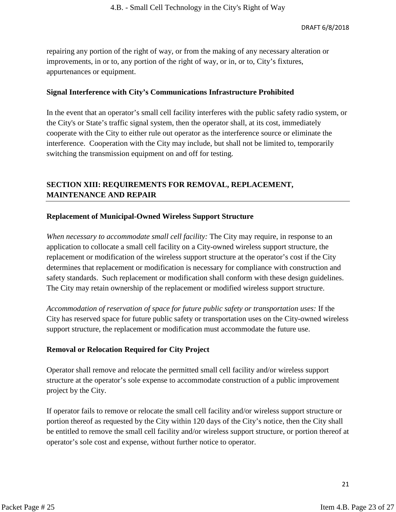repairing any portion of the right of way, or from the making of any necessary alteration or improvements, in or to, any portion of the right of way, or in, or to, City's fixtures, appurtenances or equipment.

#### **Signal Interference with City's Communications Infrastructure Prohibited**

In the event that an operator's small cell facility interferes with the public safety radio system, or the City's or State's traffic signal system, then the operator shall, at its cost, immediately cooperate with the City to either rule out operator as the interference source or eliminate the interference. Cooperation with the City may include, but shall not be limited to, temporarily switching the transmission equipment on and off for testing.

# **SECTION XIII: REQUIREMENTS FOR REMOVAL, REPLACEMENT, MAINTENANCE AND REPAIR**

# **Replacement of Municipal-Owned Wireless Support Structure**

*When necessary to accommodate small cell facility:* The City may require, in response to an application to collocate a small cell facility on a City-owned wireless support structure, the replacement or modification of the wireless support structure at the operator's cost if the City determines that replacement or modification is necessary for compliance with construction and safety standards. Such replacement or modification shall conform with these design guidelines. The City may retain ownership of the replacement or modified wireless support structure.

*Accommodation of reservation of space for future public safety or transportation uses:* If the City has reserved space for future public safety or transportation uses on the City-owned wireless support structure, the replacement or modification must accommodate the future use.

# **Removal or Relocation Required for City Project**

Operator shall remove and relocate the permitted small cell facility and/or wireless support structure at the operator's sole expense to accommodate construction of a public improvement project by the City.

If operator fails to remove or relocate the small cell facility and/or wireless support structure or portion thereof as requested by the City within 120 days of the City's notice, then the City shall be entitled to remove the small cell facility and/or wireless support structure, or portion thereof at operator's sole cost and expense, without further notice to operator.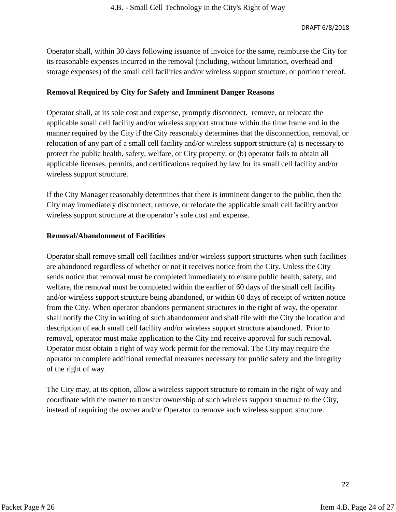Operator shall, within 30 days following issuance of invoice for the same, reimburse the City for its reasonable expenses incurred in the removal (including, without limitation, overhead and storage expenses) of the small cell facilities and/or wireless support structure, or portion thereof.

# **Removal Required by City for Safety and Imminent Danger Reasons**

Operator shall, at its sole cost and expense, promptly disconnect, remove, or relocate the applicable small cell facility and/or wireless support structure within the time frame and in the manner required by the City if the City reasonably determines that the disconnection, removal, or relocation of any part of a small cell facility and/or wireless support structure (a) is necessary to protect the public health, safety, welfare, or City property, or (b) operator fails to obtain all applicable licenses, permits, and certifications required by law for its small cell facility and/or wireless support structure.

If the City Manager reasonably determines that there is imminent danger to the public, then the City may immediately disconnect, remove, or relocate the applicable small cell facility and/or wireless support structure at the operator's sole cost and expense.

# **Removal/Abandonment of Facilities**

Operator shall remove small cell facilities and/or wireless support structures when such facilities are abandoned regardless of whether or not it receives notice from the City. Unless the City sends notice that removal must be completed immediately to ensure public health, safety, and welfare, the removal must be completed within the earlier of 60 days of the small cell facility and/or wireless support structure being abandoned, or within 60 days of receipt of written notice from the City. When operator abandons permanent structures in the right of way, the operator shall notify the City in writing of such abandonment and shall file with the City the location and description of each small cell facility and/or wireless support structure abandoned. Prior to removal, operator must make application to the City and receive approval for such removal. Operator must obtain a right of way work permit for the removal. The City may require the operator to complete additional remedial measures necessary for public safety and the integrity of the right of way.

The City may, at its option, allow a wireless support structure to remain in the right of way and coordinate with the owner to transfer ownership of such wireless support structure to the City, instead of requiring the owner and/or Operator to remove such wireless support structure.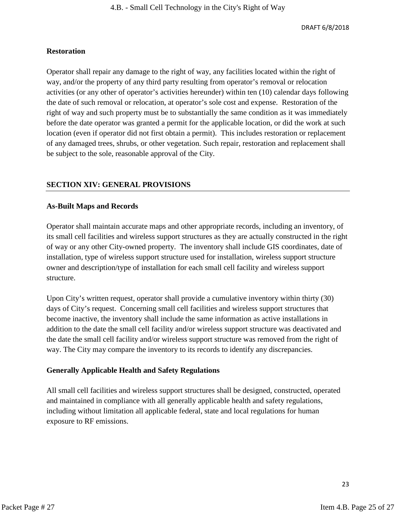#### **Restoration**

Operator shall repair any damage to the right of way, any facilities located within the right of way, and/or the property of any third party resulting from operator's removal or relocation activities (or any other of operator's activities hereunder) within ten (10) calendar days following the date of such removal or relocation, at operator's sole cost and expense. Restoration of the right of way and such property must be to substantially the same condition as it was immediately before the date operator was granted a permit for the applicable location, or did the work at such location (even if operator did not first obtain a permit). This includes restoration or replacement of any damaged trees, shrubs, or other vegetation. Such repair, restoration and replacement shall be subject to the sole, reasonable approval of the City.

# **SECTION XIV: GENERAL PROVISIONS**

#### **As-Built Maps and Records**

Operator shall maintain accurate maps and other appropriate records, including an inventory, of its small cell facilities and wireless support structures as they are actually constructed in the right of way or any other City-owned property. The inventory shall include GIS coordinates, date of installation, type of wireless support structure used for installation, wireless support structure owner and description/type of installation for each small cell facility and wireless support structure.

Upon City's written request, operator shall provide a cumulative inventory within thirty (30) days of City's request. Concerning small cell facilities and wireless support structures that become inactive, the inventory shall include the same information as active installations in addition to the date the small cell facility and/or wireless support structure was deactivated and the date the small cell facility and/or wireless support structure was removed from the right of way. The City may compare the inventory to its records to identify any discrepancies.

#### **Generally Applicable Health and Safety Regulations**

All small cell facilities and wireless support structures shall be designed, constructed, operated and maintained in compliance with all generally applicable health and safety regulations, including without limitation all applicable federal, state and local regulations for human exposure to RF emissions.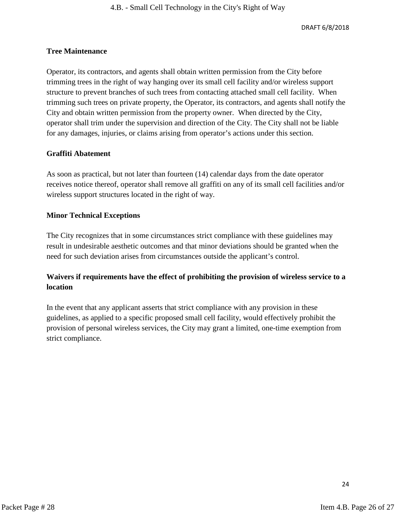#### **Tree Maintenance**

Operator, its contractors, and agents shall obtain written permission from the City before trimming trees in the right of way hanging over its small cell facility and/or wireless support structure to prevent branches of such trees from contacting attached small cell facility. When trimming such trees on private property, the Operator, its contractors, and agents shall notify the City and obtain written permission from the property owner. When directed by the City, operator shall trim under the supervision and direction of the City. The City shall not be liable for any damages, injuries, or claims arising from operator's actions under this section.

#### **Graffiti Abatement**

As soon as practical, but not later than fourteen (14) calendar days from the date operator receives notice thereof, operator shall remove all graffiti on any of its small cell facilities and/or wireless support structures located in the right of way.

#### **Minor Technical Exceptions**

The City recognizes that in some circumstances strict compliance with these guidelines may result in undesirable aesthetic outcomes and that minor deviations should be granted when the need for such deviation arises from circumstances outside the applicant's control.

# **Waivers if requirements have the effect of prohibiting the provision of wireless service to a location**

In the event that any applicant asserts that strict compliance with any provision in these guidelines, as applied to a specific proposed small cell facility, would effectively prohibit the provision of personal wireless services, the City may grant a limited, one-time exemption from strict compliance.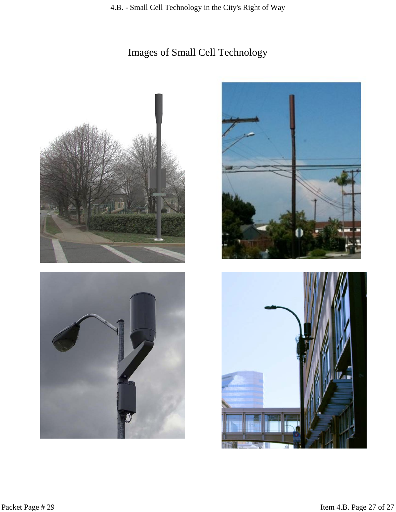# Images of Small Cell Technology







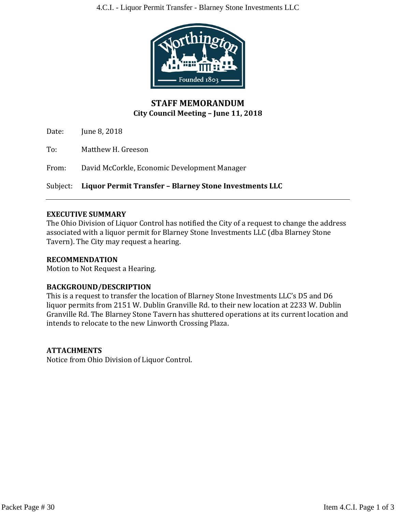

# **STAFF MEMORANDUM City Council Meeting – June 11, 2018**

Date: June 8, 2018

To: Matthew H. Greeson

From: David McCorkle, Economic Development Manager

Subject: **Liquor Permit Transfer – Blarney Stone Investments LLC**

# **EXECUTIVE SUMMARY**

The Ohio Division of Liquor Control has notified the City of a request to change the address associated with a liquor permit for Blarney Stone Investments LLC (dba Blarney Stone Tavern). The City may request a hearing.

# **RECOMMENDATION**

Motion to Not Request a Hearing.

# **BACKGROUND/DESCRIPTION**

This is a request to transfer the location of Blarney Stone Investments LLC's D5 and D6 liquor permits from 2151 W. Dublin Granville Rd. to their new location at 2233 W. Dublin Granville Rd. The Blarney Stone Tavern has shuttered operations at its current location and intends to relocate to the new Linworth Crossing Plaza.

# **ATTACHMENTS**

Notice from Ohio Division of Liquor Control.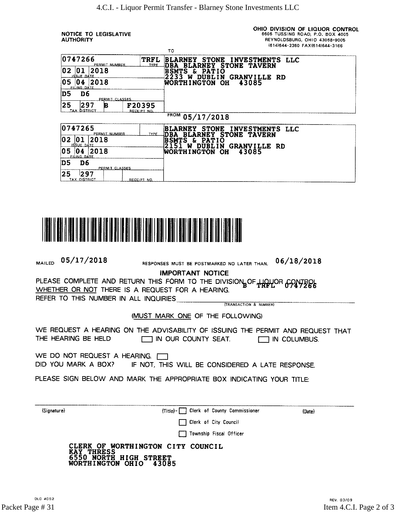... ...

**NOTICE TO LEGISLATIVE AUTHORITY** 

TAX DISTRICT

OHIO DIVISION OF LIQUOR CONTROL 6606 TUSSING ROAD, P.O. BOX 4005 REYNOLDSBURG, OHIO 43068-9005 (614)644-2360 FAX(614)644-3166

|                                        |                       | ŦО                                                                                                |  |  |  |
|----------------------------------------|-----------------------|---------------------------------------------------------------------------------------------------|--|--|--|
| 10747266<br>PERMIT NUMBER              | TRFL<br><b>IYEE</b>   | STONE INVESTMENTS LLC<br>BLARNEY<br><b>STONE TAVERN</b><br><b>BLARNEY</b><br><b>IDBA</b>          |  |  |  |
| 02<br> 2018<br>10 1<br>ISSUE DATE      |                       | <b>BSMTS</b><br>£.<br><b>PATIO</b><br>2233<br>DUBLIN<br><b>GRANVILLE RD</b><br>W                  |  |  |  |
| 05<br> 2018<br>04<br>FILING DATE       |                       | <b>WORTH I NGTON</b><br><b>OH</b><br>43085                                                        |  |  |  |
| D6<br>D5<br>PERMIT CLASSES             |                       |                                                                                                   |  |  |  |
| 25<br>297<br>в<br><b>TAX DISTRICT</b>  | F20395<br>RECEIPT NO. |                                                                                                   |  |  |  |
|                                        |                       | <b>FROM</b><br>05/17/2018                                                                         |  |  |  |
| 0747265<br>PERMIT NUMBER               | TYPE.                 | <b>STONE</b><br>INVESTMENTS LLC<br><b>BLARNEY</b><br>STONE TAVERN<br><b>DBA</b><br><b>BLARNEY</b> |  |  |  |
| 02<br> 2018<br>10 1<br>SSUE DÁTE       |                       | <b>BSMTS</b><br>£<br><b>PATIO</b><br>2151<br><b>GRANVILLE RD</b><br><b>DUBLIN</b><br>W            |  |  |  |
| 05<br>2018<br><b>U4</b><br>FILING DATE |                       | <b>WORTHINGTON</b><br>OН<br>43085                                                                 |  |  |  |
| D5<br>D <sub>6</sub><br>PERMIT CLASSES |                       |                                                                                                   |  |  |  |
| 25<br>297                              |                       |                                                                                                   |  |  |  |



RECEIPT NO

 $05/17/2018$ RESPONSES MUST BE POSTMARKED NO LATER THAN.  $06/18/2018$ MAILED **IMPORTANT NOTICE** PLEASE COMPLETE AND RETURN THIS FORM TO THE DIVISION OF HOUGH CONTROL WHETHER OR NOT THERE IS A REQUEST FOR A HEARING. REFER TO THIS NUMBER IN ALL INQUIRIES (TRANSACTION & NUMBER) (MUST MARK ONE OF THE FOLLOWING) WE REQUEST A HEARING ON THE ADVISABILITY OF ISSUING THE PERMIT AND REQUEST THAT THE HEARING BE HELD IN OUR COUNTY SEAT.  $\Box$  IN COLUMBUS. WE DO NOT REQUEST A HEARING. DID YOU MARK A BOX? IF NOT, THIS WILL BE CONSIDERED A LATE RESPONSE. PLEASE SIGN BELOW AND MARK THE APPROPRIATE BOX INDICATING YOUR TITLE:

(Signature)

(Title)- Clerk of County Commissioner

(Date)

Clerk of City Council

Township Fiscal Officer

| CLERK OF WORTHINGTON CITY COUNCIL |  |
|-----------------------------------|--|
| <b>KAY THRESS</b>                 |  |
| 6550 NORTH HIGH STREET            |  |
| WORTHINGTON OHIO 43085            |  |